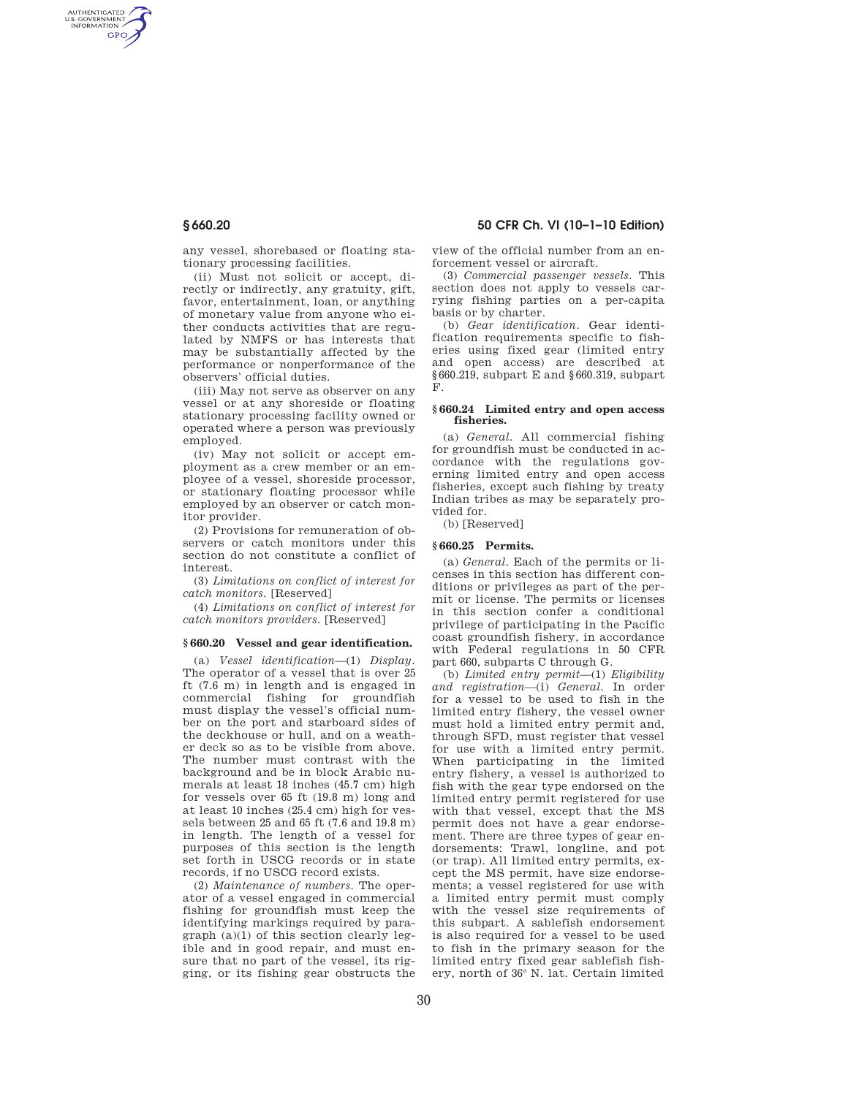AUTHENTICATED<br>U.S. GOVERNMENT<br>INFORMATION **GPO** 

**§ 660.20 50 CFR Ch. VI (10–1–10 Edition)** 

any vessel, shorebased or floating stationary processing facilities.

(ii) Must not solicit or accept, directly or indirectly, any gratuity, gift, favor, entertainment, loan, or anything of monetary value from anyone who either conducts activities that are regulated by NMFS or has interests that may be substantially affected by the performance or nonperformance of the observers' official duties.

(iii) May not serve as observer on any vessel or at any shoreside or floating stationary processing facility owned or operated where a person was previously employed.

(iv) May not solicit or accept employment as a crew member or an employee of a vessel, shoreside processor, or stationary floating processor while employed by an observer or catch monitor provider.

(2) Provisions for remuneration of observers or catch monitors under this section do not constitute a conflict of interest.

(3) *Limitations on conflict of interest for catch monitors.* [Reserved]

(4) *Limitations on conflict of interest for catch monitors providers.* [Reserved]

#### **§ 660.20 Vessel and gear identification.**

(a) *Vessel identification*—(1) *Display.*  The operator of a vessel that is over 25 ft (7.6 m) in length and is engaged in commercial fishing for groundfish must display the vessel's official number on the port and starboard sides of the deckhouse or hull, and on a weather deck so as to be visible from above. The number must contrast with the background and be in block Arabic numerals at least 18 inches (45.7 cm) high for vessels over 65 ft (19.8 m) long and at least 10 inches (25.4 cm) high for vessels between 25 and 65 ft (7.6 and 19.8 m) in length. The length of a vessel for purposes of this section is the length set forth in USCG records or in state records, if no USCG record exists.

(2) *Maintenance of numbers.* The operator of a vessel engaged in commercial fishing for groundfish must keep the identifying markings required by paragraph (a)(1) of this section clearly legible and in good repair, and must ensure that no part of the vessel, its rigging, or its fishing gear obstructs the view of the official number from an enforcement vessel or aircraft.

(3) *Commercial passenger vessels.* This section does not apply to vessels carrying fishing parties on a per-capita basis or by charter.

(b) *Gear identification.* Gear identification requirements specific to fisheries using fixed gear (limited entry and open access) are described at §660.219, subpart E and §660.319, subpart F.

### **§ 660.24 Limited entry and open access fisheries.**

(a) *General.* All commercial fishing for groundfish must be conducted in accordance with the regulations governing limited entry and open access fisheries, except such fishing by treaty Indian tribes as may be separately provided for.

(b) [Reserved]

## **§ 660.25 Permits.**

(a) *General.* Each of the permits or licenses in this section has different conditions or privileges as part of the permit or license. The permits or licenses in this section confer a conditional privilege of participating in the Pacific coast groundfish fishery, in accordance with Federal regulations in 50 CFR part 660, subparts C through G.

(b) *Limited entry permit*—(1) *Eligibility and registration*—(i) *General.* In order for a vessel to be used to fish in the limited entry fishery, the vessel owner must hold a limited entry permit and, through SFD, must register that vessel for use with a limited entry permit. When participating in the limited entry fishery, a vessel is authorized to fish with the gear type endorsed on the limited entry permit registered for use with that vessel, except that the MS permit does not have a gear endorsement. There are three types of gear endorsements: Trawl, longline, and pot (or trap). All limited entry permits, except the MS permit, have size endorsements; a vessel registered for use with a limited entry permit must comply with the vessel size requirements of this subpart. A sablefish endorsement is also required for a vessel to be used to fish in the primary season for the limited entry fixed gear sablefish fishery, north of 36° N. lat. Certain limited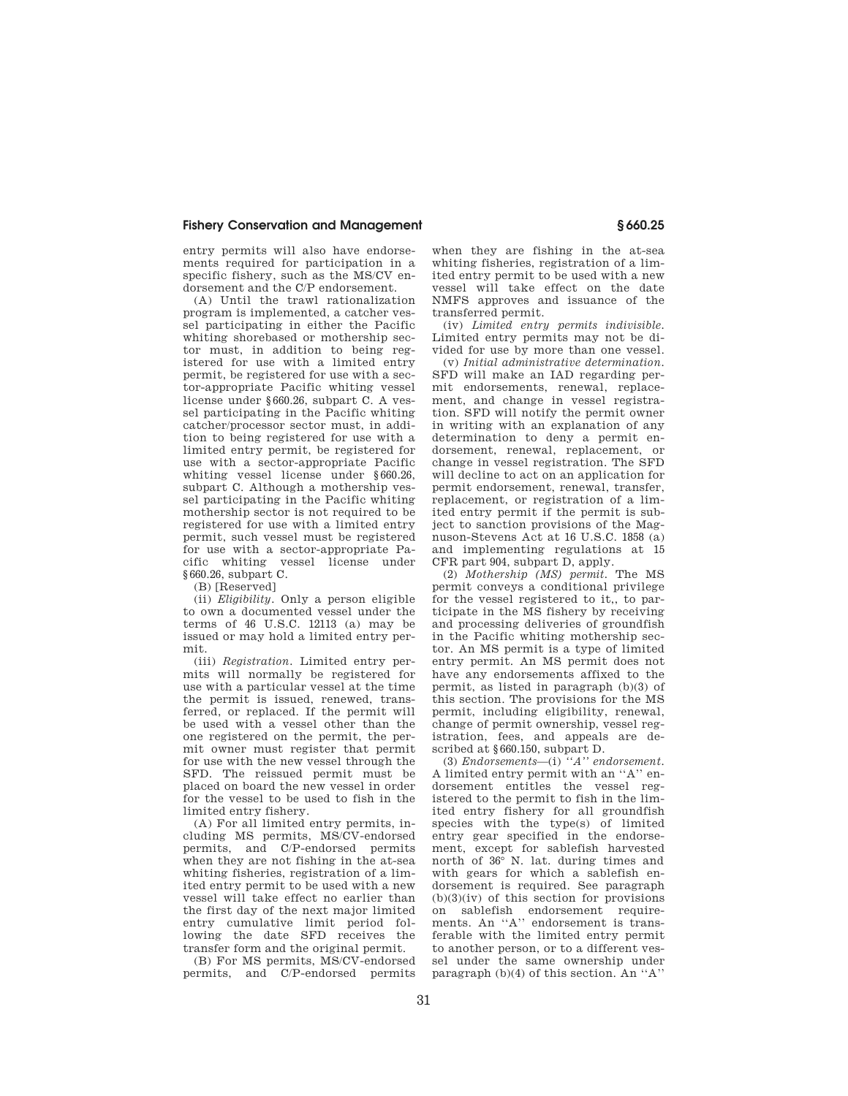entry permits will also have endorsements required for participation in a specific fishery, such as the MS/CV endorsement and the C/P endorsement.

(A) Until the trawl rationalization program is implemented, a catcher vessel participating in either the Pacific whiting shorebased or mothership sector must, in addition to being registered for use with a limited entry permit, be registered for use with a sector-appropriate Pacific whiting vessel license under §660.26, subpart C. A vessel participating in the Pacific whiting catcher/processor sector must, in addition to being registered for use with a limited entry permit, be registered for use with a sector-appropriate Pacific whiting vessel license under §660.26. subpart C. Although a mothership vessel participating in the Pacific whiting mothership sector is not required to be registered for use with a limited entry permit, such vessel must be registered for use with a sector-appropriate Pacific whiting vessel license under §660.26, subpart C.

(B) [Reserved]

(ii) *Eligibility.* Only a person eligible to own a documented vessel under the terms of 46 U.S.C. 12113 (a) may be issued or may hold a limited entry permit.

(iii) *Registration.* Limited entry permits will normally be registered for use with a particular vessel at the time the permit is issued, renewed, transferred, or replaced. If the permit will be used with a vessel other than the one registered on the permit, the permit owner must register that permit for use with the new vessel through the SFD. The reissued permit must be placed on board the new vessel in order for the vessel to be used to fish in the limited entry fishery.

(A) For all limited entry permits, including MS permits, MS/CV-endorsed permits, and C/P-endorsed permits when they are not fishing in the at-sea whiting fisheries, registration of a limited entry permit to be used with a new vessel will take effect no earlier than the first day of the next major limited entry cumulative limit period following the date SFD receives the transfer form and the original permit.

(B) For MS permits, MS/CV-endorsed permits, and C/P-endorsed permits

when they are fishing in the at-sea whiting fisheries, registration of a limited entry permit to be used with a new vessel will take effect on the date NMFS approves and issuance of the transferred permit.

(iv) *Limited entry permits indivisible.*  Limited entry permits may not be divided for use by more than one vessel.

(v) *Initial administrative determination.*  SFD will make an IAD regarding permit endorsements, renewal, replacement, and change in vessel registration. SFD will notify the permit owner in writing with an explanation of any determination to deny a permit endorsement, renewal, replacement, or change in vessel registration. The SFD will decline to act on an application for permit endorsement, renewal, transfer replacement, or registration of a limited entry permit if the permit is subject to sanction provisions of the Magnuson-Stevens Act at 16 U.S.C. 1858 (a) and implementing regulations at 15 CFR part 904, subpart D, apply.

(2) *Mothership (MS) permit.* The MS permit conveys a conditional privilege for the vessel registered to it,, to participate in the MS fishery by receiving and processing deliveries of groundfish in the Pacific whiting mothership sector. An MS permit is a type of limited entry permit. An MS permit does not have any endorsements affixed to the permit, as listed in paragraph (b)(3) of this section. The provisions for the MS permit, including eligibility, renewal, change of permit ownership, vessel registration, fees, and appeals are described at §660.150, subpart D.

(3) *Endorsements*—(i) *''A'' endorsement.*  A limited entry permit with an ''A'' endorsement entitles the vessel registered to the permit to fish in the limited entry fishery for all groundfish species with the type(s) of limited entry gear specified in the endorsement, except for sablefish harvested north of 36° N. lat. during times and with gears for which a sablefish endorsement is required. See paragraph  $(b)(3)(iv)$  of this section for provisions on sablefish endorsement requirements. An ''A'' endorsement is transferable with the limited entry permit to another person, or to a different vessel under the same ownership under paragraph  $(b)(4)$  of this section. An "A"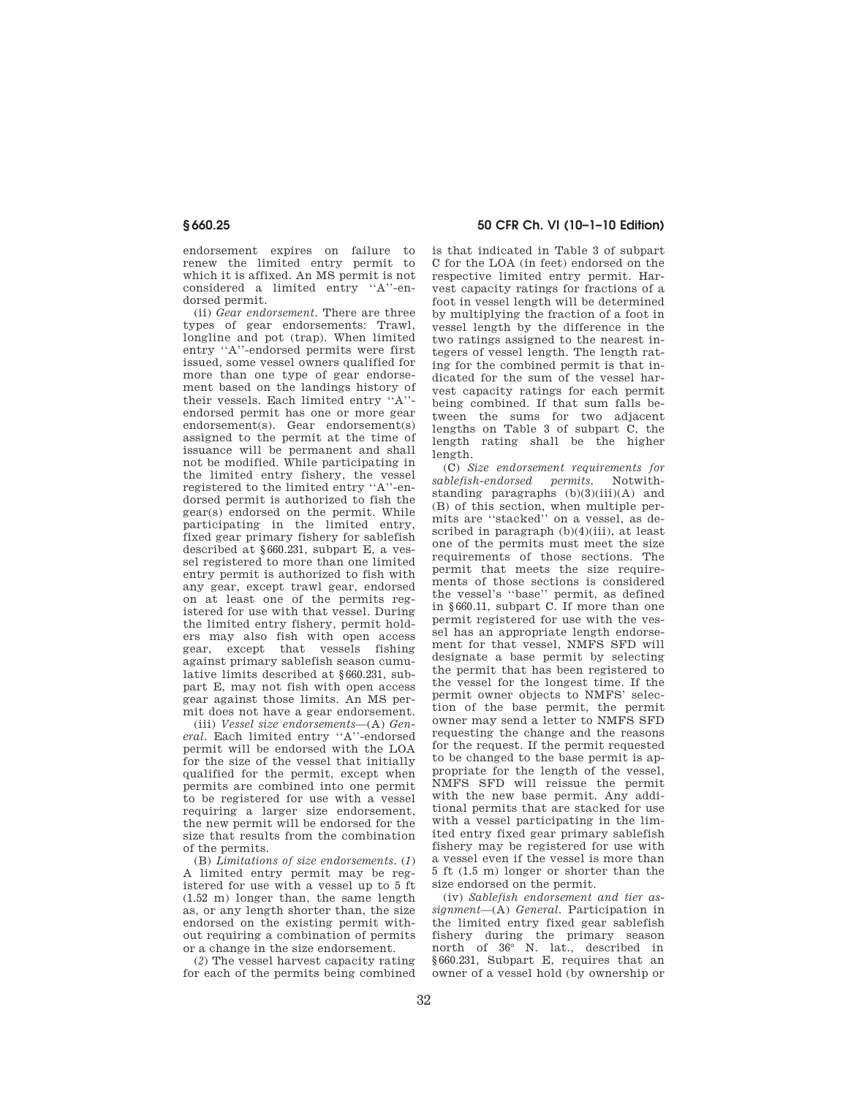endorsement expires on failure to renew the limited entry permit to which it is affixed. An MS permit is not considered a limited entry ''A''-endorsed permit.

(ii) *Gear endorsement.* There are three types of gear endorsements: Trawl, longline and pot (trap). When limited entry ''A''-endorsed permits were first issued, some vessel owners qualified for more than one type of gear endorsement based on the landings history of their vessels. Each limited entry ''A'' endorsed permit has one or more gear endorsement(s). Gear endorsement(s) assigned to the permit at the time of issuance will be permanent and shall not be modified. While participating in the limited entry fishery, the vessel registered to the limited entry ''A''-endorsed permit is authorized to fish the gear(s) endorsed on the permit. While participating in the limited entry, fixed gear primary fishery for sablefish described at §660.231, subpart E, a vessel registered to more than one limited entry permit is authorized to fish with any gear, except trawl gear, endorsed on at least one of the permits registered for use with that vessel. During the limited entry fishery, permit holders may also fish with open access gear, except that vessels fishing against primary sablefish season cumulative limits described at §660.231, subpart E, may not fish with open access gear against those limits. An MS permit does not have a gear endorsement.

(iii) *Vessel size endorsements*—(A) *General.* Each limited entry ''A''-endorsed permit will be endorsed with the LOA for the size of the vessel that initially qualified for the permit, except when permits are combined into one permit to be registered for use with a vessel requiring a larger size endorsement, the new permit will be endorsed for the size that results from the combination of the permits.

(B) *Limitations of size endorsements.* (*1*) A limited entry permit may be registered for use with a vessel up to 5 ft (1.52 m) longer than, the same length as, or any length shorter than, the size endorsed on the existing permit without requiring a combination of permits or a change in the size endorsement.

(*2*) The vessel harvest capacity rating for each of the permits being combined

# **§ 660.25 50 CFR Ch. VI (10–1–10 Edition)**

is that indicated in Table 3 of subpart C for the LOA (in feet) endorsed on the respective limited entry permit. Harvest capacity ratings for fractions of a foot in vessel length will be determined by multiplying the fraction of a foot in vessel length by the difference in the two ratings assigned to the nearest integers of vessel length. The length rating for the combined permit is that indicated for the sum of the vessel harvest capacity ratings for each permit being combined. If that sum falls between the sums for two adjacent lengths on Table 3 of subpart C, the length rating shall be the higher length.

(C) *Size endorsement requirements for sablefish-endorsed permits.* Notwithstanding paragraphs  $(b)(3)(iii)(A)$  and (B) of this section, when multiple permits are ''stacked'' on a vessel, as described in paragraph (b)(4)(iii), at least one of the permits must meet the size requirements of those sections. The permit that meets the size requirements of those sections is considered the vessel's ''base'' permit, as defined in §660.11, subpart C. If more than one permit registered for use with the vessel has an appropriate length endorsement for that vessel, NMFS SFD will designate a base permit by selecting the permit that has been registered to the vessel for the longest time. If the permit owner objects to NMFS' selection of the base permit, the permit owner may send a letter to NMFS SFD requesting the change and the reasons for the request. If the permit requested to be changed to the base permit is appropriate for the length of the vessel, NMFS SFD will reissue the permit with the new base permit. Any additional permits that are stacked for use with a vessel participating in the limited entry fixed gear primary sablefish fishery may be registered for use with a vessel even if the vessel is more than 5 ft (1.5 m) longer or shorter than the size endorsed on the permit.

(iv) *Sablefish endorsement and tier assignment*—(A) *General.* Participation in the limited entry fixed gear sablefish fishery during the primary season north of 36° N. lat., described in §660.231, Subpart E, requires that an owner of a vessel hold (by ownership or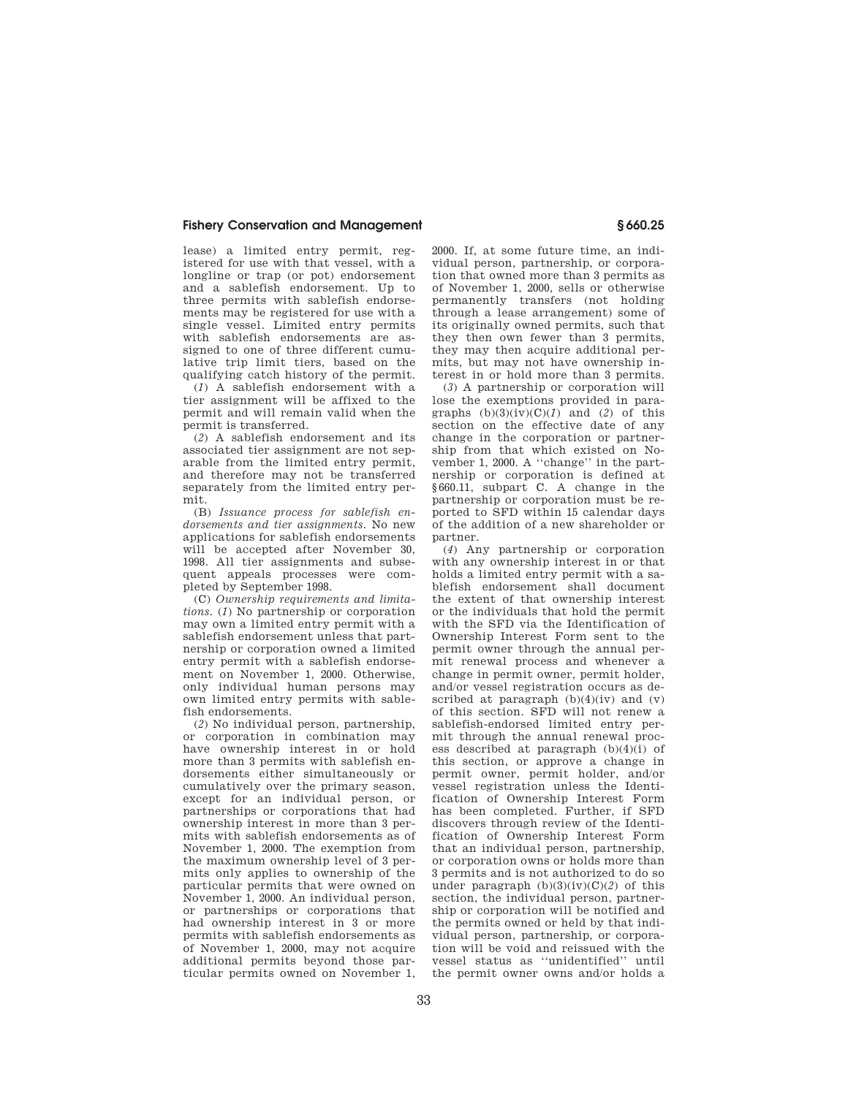lease) a limited entry permit, registered for use with that vessel, with a longline or trap (or pot) endorsement and a sablefish endorsement. Up to three permits with sablefish endorsements may be registered for use with a single vessel. Limited entry permits with sablefish endorsements are assigned to one of three different cumulative trip limit tiers, based on the qualifying catch history of the permit.

(*1*) A sablefish endorsement with a tier assignment will be affixed to the permit and will remain valid when the permit is transferred.

(*2*) A sablefish endorsement and its associated tier assignment are not separable from the limited entry permit, and therefore may not be transferred separately from the limited entry permit.

(B) *Issuance process for sablefish endorsements and tier assignments.* No new applications for sablefish endorsements will be accepted after November 30, 1998. All tier assignments and subsequent appeals processes were completed by September 1998.

(C) *Ownership requirements and limitations.* (*1*) No partnership or corporation may own a limited entry permit with a sablefish endorsement unless that partnership or corporation owned a limited entry permit with a sablefish endorsement on November 1, 2000. Otherwise, only individual human persons may own limited entry permits with sablefish endorsements.

(*2*) No individual person, partnership, or corporation in combination may have ownership interest in or hold more than 3 permits with sablefish endorsements either simultaneously or cumulatively over the primary season, except for an individual person, or partnerships or corporations that had ownership interest in more than 3 permits with sablefish endorsements as of November 1, 2000. The exemption from the maximum ownership level of 3 permits only applies to ownership of the particular permits that were owned on November 1, 2000. An individual person, or partnerships or corporations that had ownership interest in 3 or more permits with sablefish endorsements as of November 1, 2000, may not acquire additional permits beyond those particular permits owned on November 1,

2000. If, at some future time, an individual person, partnership, or corporation that owned more than 3 permits as of November 1, 2000, sells or otherwise permanently transfers (not holding through a lease arrangement) some of its originally owned permits, such that they then own fewer than 3 permits, they may then acquire additional permits, but may not have ownership interest in or hold more than 3 permits.

(*3*) A partnership or corporation will lose the exemptions provided in paragraphs  $(b)(3)(iv)(C)(1)$  and  $(2)$  of this section on the effective date of any change in the corporation or partnership from that which existed on November 1, 2000. A ''change'' in the partnership or corporation is defined at §660.11, subpart C. A change in the partnership or corporation must be reported to SFD within 15 calendar days of the addition of a new shareholder or partner.

(*4*) Any partnership or corporation with any ownership interest in or that holds a limited entry permit with a sablefish endorsement shall document the extent of that ownership interest or the individuals that hold the permit with the SFD via the Identification of Ownership Interest Form sent to the permit owner through the annual permit renewal process and whenever a change in permit owner, permit holder, and/or vessel registration occurs as described at paragraph  $(b)(4)(iv)$  and  $(v)$ of this section. SFD will not renew a sablefish-endorsed limited entry permit through the annual renewal process described at paragraph (b)(4)(i) of this section, or approve a change in permit owner, permit holder, and/or vessel registration unless the Identification of Ownership Interest Form has been completed. Further, if SFD discovers through review of the Identification of Ownership Interest Form that an individual person, partnership, or corporation owns or holds more than 3 permits and is not authorized to do so under paragraph  $(b)(3)(iv)(C)(2)$  of this section, the individual person, partnership or corporation will be notified and the permits owned or held by that individual person, partnership, or corporation will be void and reissued with the vessel status as ''unidentified'' until the permit owner owns and/or holds a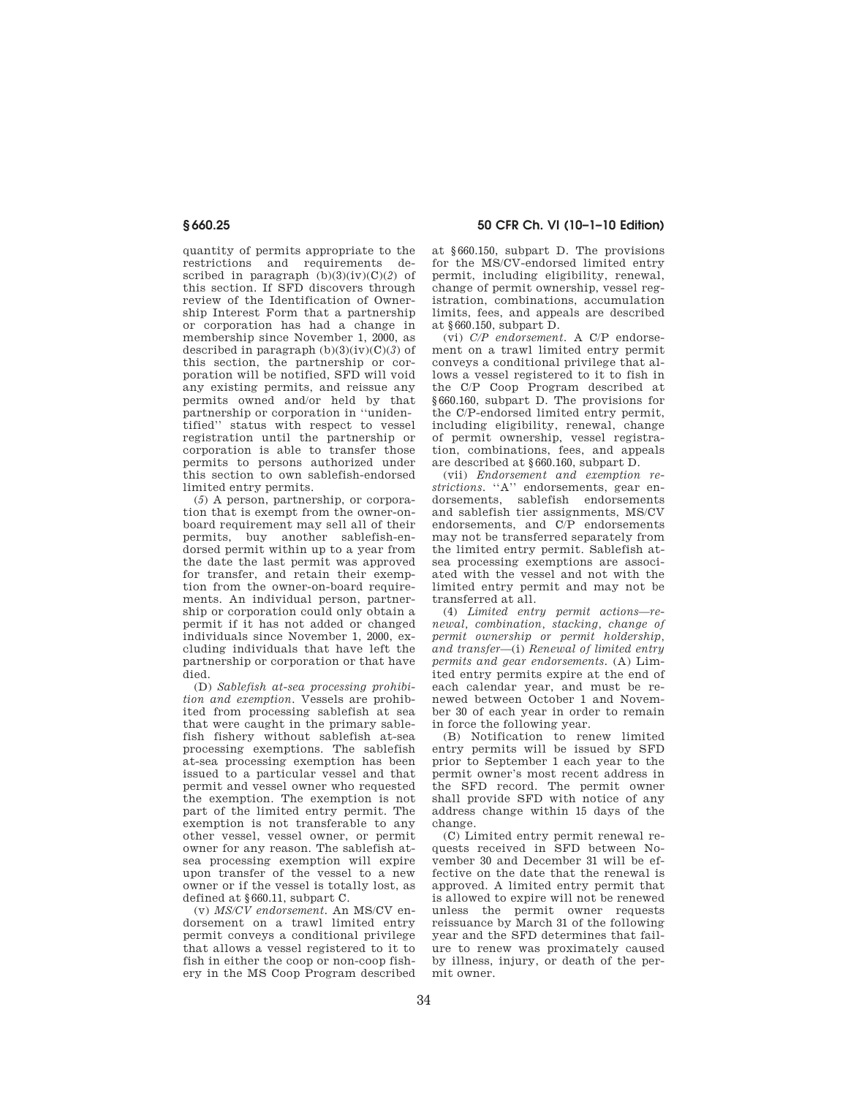quantity of permits appropriate to the restrictions and requirements described in paragraph  $(b)(3)(iv)(C)(2)$  of this section. If SFD discovers through review of the Identification of Ownership Interest Form that a partnership or corporation has had a change in membership since November 1, 2000, as described in paragraph (b)(3)(iv)(C)(*3*) of this section, the partnership or corporation will be notified, SFD will void any existing permits, and reissue any permits owned and/or held by that partnership or corporation in ''unidentified'' status with respect to vessel registration until the partnership or corporation is able to transfer those permits to persons authorized under this section to own sablefish-endorsed limited entry permits.

(*5*) A person, partnership, or corporation that is exempt from the owner-onboard requirement may sell all of their permits, buy another sablefish-endorsed permit within up to a year from the date the last permit was approved for transfer, and retain their exemption from the owner-on-board requirements. An individual person, partnership or corporation could only obtain a permit if it has not added or changed individuals since November 1, 2000, excluding individuals that have left the partnership or corporation or that have died.

(D) *Sablefish at-sea processing prohibition and exemption.* Vessels are prohibited from processing sablefish at sea that were caught in the primary sablefish fishery without sablefish at-sea processing exemptions. The sablefish at-sea processing exemption has been issued to a particular vessel and that permit and vessel owner who requested the exemption. The exemption is not part of the limited entry permit. The exemption is not transferable to any other vessel, vessel owner, or permit owner for any reason. The sablefish atsea processing exemption will expire upon transfer of the vessel to a new owner or if the vessel is totally lost, as defined at §660.11, subpart C.

(v) *MS/CV endorsement.* An MS/CV endorsement on a trawl limited entry permit conveys a conditional privilege that allows a vessel registered to it to fish in either the coop or non-coop fishery in the MS Coop Program described

**§ 660.25 50 CFR Ch. VI (10–1–10 Edition)** 

at §660.150, subpart D. The provisions for the MS/CV-endorsed limited entry permit, including eligibility, renewal, change of permit ownership, vessel registration, combinations, accumulation limits, fees, and appeals are described at §660.150, subpart D.

(vi) *C/P endorsement.* A C/P endorsement on a trawl limited entry permit conveys a conditional privilege that allows a vessel registered to it to fish in the C/P Coop Program described at §660.160, subpart D. The provisions for the C/P-endorsed limited entry permit, including eligibility, renewal, change of permit ownership, vessel registration, combinations, fees, and appeals are described at §660.160, subpart D.

(vii) *Endorsement and exemption restrictions.* "A" endorsements, gear endorsements, sablefish endorsements and sablefish tier assignments, MS/CV endorsements, and C/P endorsements may not be transferred separately from the limited entry permit. Sablefish atsea processing exemptions are associated with the vessel and not with the limited entry permit and may not be transferred at all.

(4) *Limited entry permit actions—renewal, combination, stacking, change of permit ownership or permit holdership, and transfer*—(i) *Renewal of limited entry permits and gear endorsements.* (A) Limited entry permits expire at the end of each calendar year, and must be renewed between October 1 and November 30 of each year in order to remain in force the following year.

(B) Notification to renew limited entry permits will be issued by SFD prior to September 1 each year to the permit owner's most recent address in the SFD record. The permit owner shall provide SFD with notice of any address change within 15 days of the change.

(C) Limited entry permit renewal requests received in SFD between November 30 and December 31 will be effective on the date that the renewal is approved. A limited entry permit that is allowed to expire will not be renewed unless the permit owner requests reissuance by March 31 of the following year and the SFD determines that failure to renew was proximately caused by illness, injury, or death of the permit owner.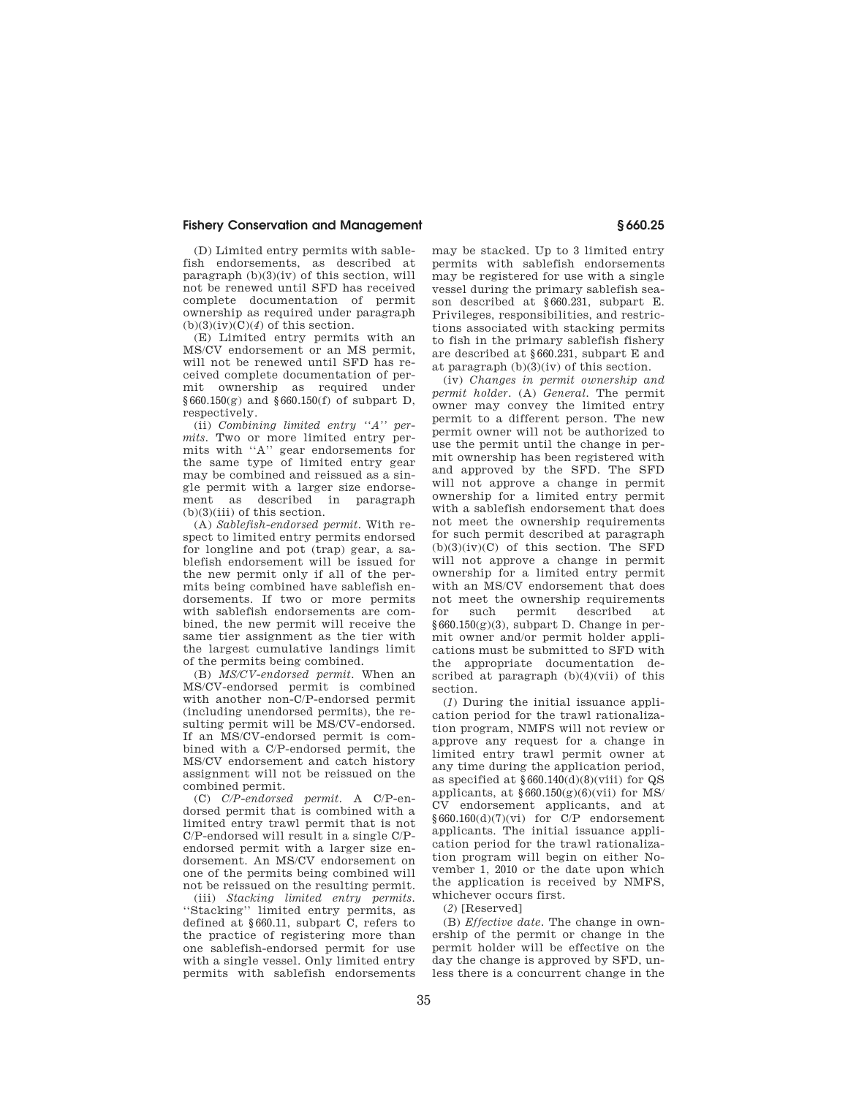(D) Limited entry permits with sablefish endorsements, as described at paragraph  $(b)(3)(iv)$  of this section, will not be renewed until SFD has received complete documentation of permit ownership as required under paragraph  $(b)(3)(iv)(C)(4)$  of this section.

(E) Limited entry permits with an MS/CV endorsement or an MS permit, will not be renewed until SFD has received complete documentation of permit ownership as required under  $§660.150(g)$  and  $§660.150(f)$  of subpart D, respectively.

(ii) *Combining limited entry ''A'' permits.* Two or more limited entry permits with ''A'' gear endorsements for the same type of limited entry gear may be combined and reissued as a single permit with a larger size endorsement as described in paragraph (b)(3)(iii) of this section.

(A) *Sablefish-endorsed permit.* With respect to limited entry permits endorsed for longline and pot (trap) gear, a sablefish endorsement will be issued for the new permit only if all of the permits being combined have sablefish endorsements. If two or more permits with sablefish endorsements are combined, the new permit will receive the same tier assignment as the tier with the largest cumulative landings limit of the permits being combined.

(B) *MS/CV-endorsed permit.* When an MS/CV-endorsed permit is combined with another non-C/P-endorsed permit (including unendorsed permits), the resulting permit will be MS/CV-endorsed. If an MS/CV-endorsed permit is combined with a C/P-endorsed permit, the MS/CV endorsement and catch history assignment will not be reissued on the combined permit.

(C) *C/P-endorsed permit.* A C/P-endorsed permit that is combined with a limited entry trawl permit that is not C/P-endorsed will result in a single C/Pendorsed permit with a larger size endorsement. An MS/CV endorsement on one of the permits being combined will not be reissued on the resulting permit.

(iii) *Stacking limited entry permits.*  ''Stacking'' limited entry permits, as defined at §660.11, subpart C, refers to the practice of registering more than one sablefish-endorsed permit for use with a single vessel. Only limited entry permits with sablefish endorsements may be stacked. Up to 3 limited entry permits with sablefish endorsements may be registered for use with a single vessel during the primary sablefish season described at §660.231, subpart E. Privileges, responsibilities, and restrictions associated with stacking permits to fish in the primary sablefish fishery are described at §660.231, subpart E and at paragraph (b)(3)(iv) of this section.

(iv) *Changes in permit ownership and permit holder.* (A) *General.* The permit owner may convey the limited entry permit to a different person. The new permit owner will not be authorized to use the permit until the change in permit ownership has been registered with and approved by the SFD. The SFD will not approve a change in permit ownership for a limited entry permit with a sablefish endorsement that does not meet the ownership requirements for such permit described at paragraph  $(b)(3)(iv)(C)$  of this section. The SFD will not approve a change in permit ownership for a limited entry permit with an MS/CV endorsement that does not meet the ownership requirements for such permit described at  $§660.150(g)(3)$ , subpart D. Change in permit owner and/or permit holder applications must be submitted to SFD with the appropriate documentation described at paragraph  $(b)(4)(vii)$  of this section.

(*1*) During the initial issuance application period for the trawl rationalization program, NMFS will not review or approve any request for a change in limited entry trawl permit owner at any time during the application period, as specified at §660.140(d)(8)(viii) for QS applicants, at  $§660.150(g)(6)(vii)$  for MS/ CV endorsement applicants, and at §660.160(d)(7)(vi) for C/P endorsement applicants. The initial issuance application period for the trawl rationalization program will begin on either November 1, 2010 or the date upon which the application is received by NMFS, whichever occurs first.

(*2*) [Reserved]

(B) *Effective date.* The change in ownership of the permit or change in the permit holder will be effective on the day the change is approved by SFD, unless there is a concurrent change in the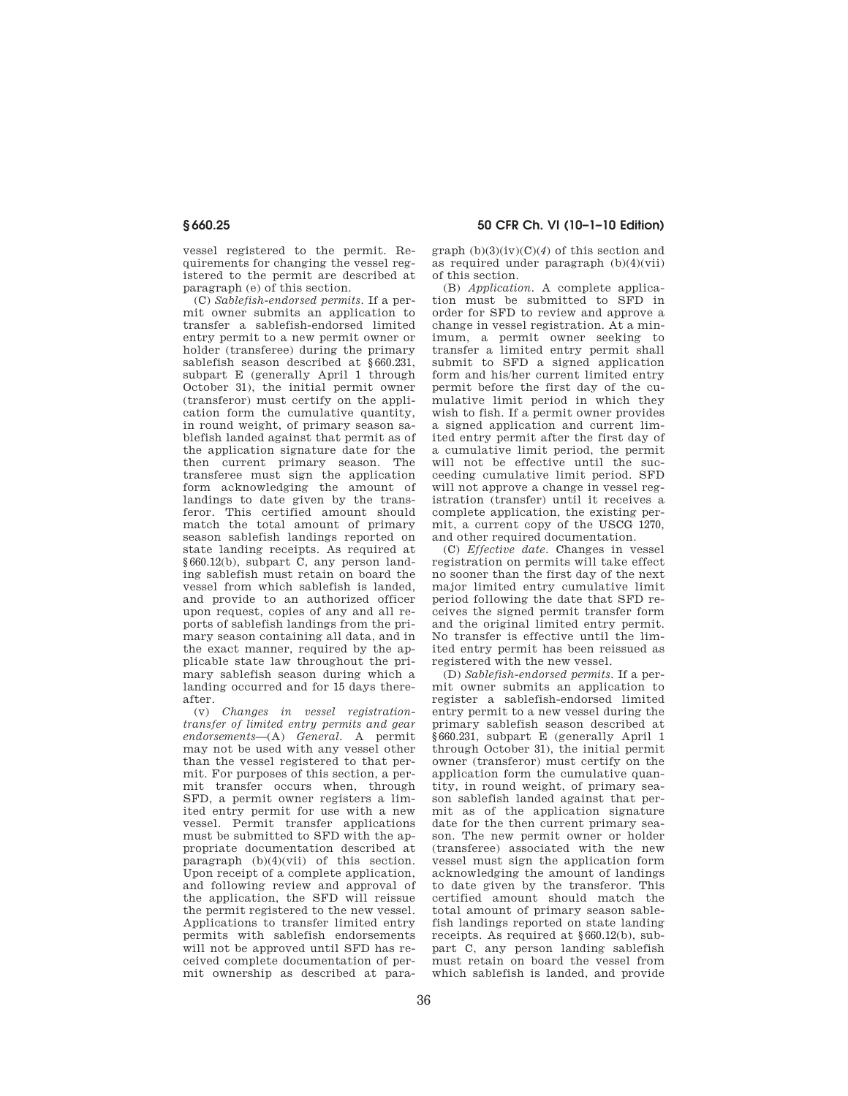vessel registered to the permit. Requirements for changing the vessel registered to the permit are described at paragraph (e) of this section.

(C) *Sablefish-endorsed permits.* If a permit owner submits an application to transfer a sablefish-endorsed limited entry permit to a new permit owner or holder (transferee) during the primary sablefish season described at §660.231, subpart E (generally April 1 through October 31), the initial permit owner (transferor) must certify on the application form the cumulative quantity, in round weight, of primary season sablefish landed against that permit as of the application signature date for the then current primary season. The transferee must sign the application form acknowledging the amount of landings to date given by the transferor. This certified amount should match the total amount of primary season sablefish landings reported on state landing receipts. As required at §660.12(b), subpart C, any person landing sablefish must retain on board the vessel from which sablefish is landed, and provide to an authorized officer upon request, copies of any and all reports of sablefish landings from the primary season containing all data, and in the exact manner, required by the applicable state law throughout the primary sablefish season during which a landing occurred and for 15 days thereafter.

(v) *Changes in vessel registrationtransfer of limited entry permits and gear endorsements*—(A) *General.* A permit may not be used with any vessel other than the vessel registered to that permit. For purposes of this section, a permit transfer occurs when, through SFD, a permit owner registers a limited entry permit for use with a new vessel. Permit transfer applications must be submitted to SFD with the appropriate documentation described at paragraph (b)(4)(vii) of this section. Upon receipt of a complete application, and following review and approval of the application, the SFD will reissue the permit registered to the new vessel. Applications to transfer limited entry permits with sablefish endorsements will not be approved until SFD has received complete documentation of permit ownership as described at para-

# **§ 660.25 50 CFR Ch. VI (10–1–10 Edition)**

graph  $(b)(3)(iv)(C)(4)$  of this section and as required under paragraph (b)(4)(vii) of this section.

(B) *Application.* A complete application must be submitted to SFD in order for SFD to review and approve a change in vessel registration. At a minimum, a permit owner seeking to transfer a limited entry permit shall submit to SFD a signed application form and his/her current limited entry permit before the first day of the cumulative limit period in which they wish to fish. If a permit owner provides a signed application and current limited entry permit after the first day of a cumulative limit period, the permit will not be effective until the succeeding cumulative limit period. SFD will not approve a change in vessel registration (transfer) until it receives a complete application, the existing permit, a current copy of the USCG 1270, and other required documentation.

(C) *Effective date.* Changes in vessel registration on permits will take effect no sooner than the first day of the next major limited entry cumulative limit period following the date that SFD receives the signed permit transfer form and the original limited entry permit. No transfer is effective until the limited entry permit has been reissued as registered with the new vessel.

(D) *Sablefish-endorsed permits.* If a permit owner submits an application to register a sablefish-endorsed limited entry permit to a new vessel during the primary sablefish season described at §660.231, subpart E (generally April 1 through October 31), the initial permit owner (transferor) must certify on the application form the cumulative quantity, in round weight, of primary season sablefish landed against that permit as of the application signature date for the then current primary season. The new permit owner or holder (transferee) associated with the new vessel must sign the application form acknowledging the amount of landings to date given by the transferor. This certified amount should match the total amount of primary season sablefish landings reported on state landing receipts. As required at §660.12(b), subpart C, any person landing sablefish must retain on board the vessel from which sablefish is landed, and provide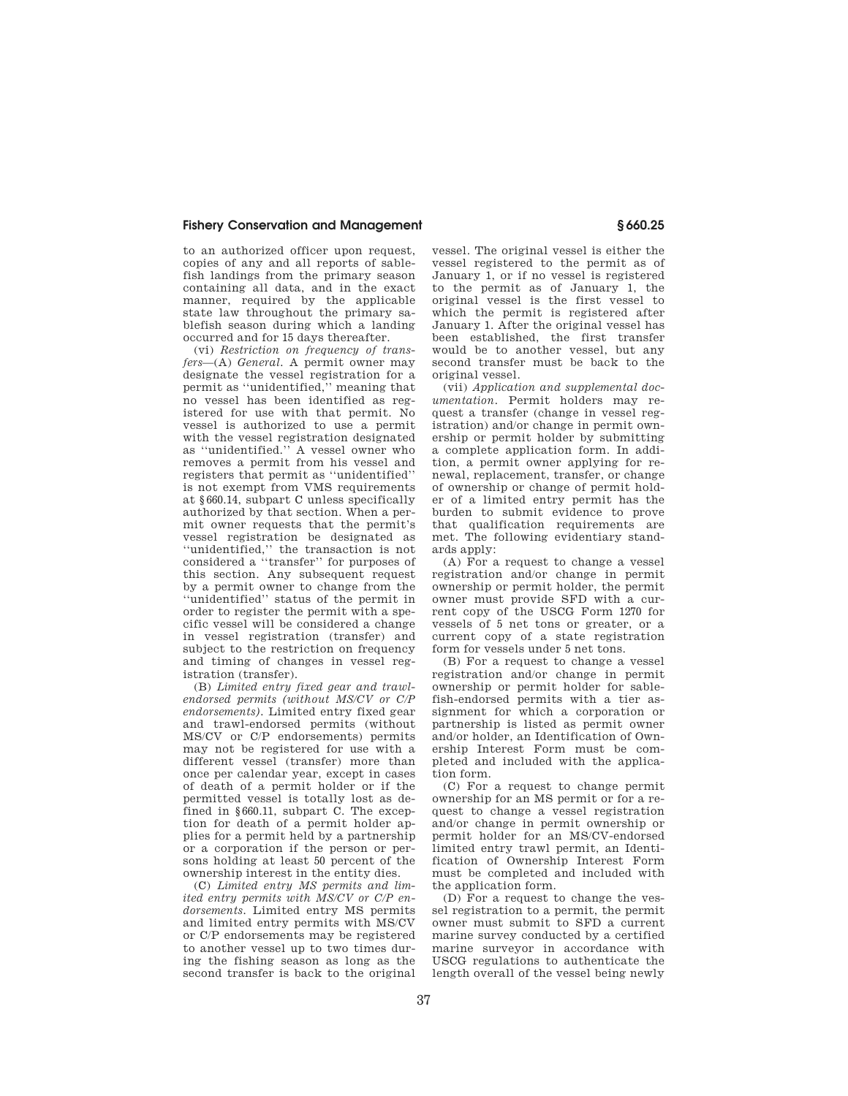to an authorized officer upon request, copies of any and all reports of sablefish landings from the primary season containing all data, and in the exact manner, required by the applicable state law throughout the primary sablefish season during which a landing occurred and for 15 days thereafter.

(vi) *Restriction on frequency of transfers*—(A) *General.* A permit owner may designate the vessel registration for a permit as ''unidentified,'' meaning that no vessel has been identified as registered for use with that permit. No vessel is authorized to use a permit with the vessel registration designated as ''unidentified.'' A vessel owner who removes a permit from his vessel and registers that permit as ''unidentified'' is not exempt from VMS requirements at §660.14, subpart C unless specifically authorized by that section. When a permit owner requests that the permit's vessel registration be designated as ''unidentified,'' the transaction is not considered a ''transfer'' for purposes of this section. Any subsequent request by a permit owner to change from the ''unidentified'' status of the permit in order to register the permit with a specific vessel will be considered a change in vessel registration (transfer) and subject to the restriction on frequency and timing of changes in vessel registration (transfer).

(B) *Limited entry fixed gear and trawlendorsed permits (without MS/CV or C/P endorsements).* Limited entry fixed gear and trawl-endorsed permits (without MS/CV or C/P endorsements) permits may not be registered for use with a different vessel (transfer) more than once per calendar year, except in cases of death of a permit holder or if the permitted vessel is totally lost as defined in §660.11, subpart C. The exception for death of a permit holder applies for a permit held by a partnership or a corporation if the person or persons holding at least 50 percent of the ownership interest in the entity dies.

(C) *Limited entry MS permits and limited entry permits with MS/CV or C/P endorsements.* Limited entry MS permits and limited entry permits with MS/CV or C/P endorsements may be registered to another vessel up to two times during the fishing season as long as the second transfer is back to the original

vessel. The original vessel is either the vessel registered to the permit as of January 1, or if no vessel is registered to the permit as of January 1, the original vessel is the first vessel to which the permit is registered after January 1. After the original vessel has been established, the first transfer would be to another vessel, but any second transfer must be back to the original vessel.

(vii) *Application and supplemental documentation.* Permit holders may request a transfer (change in vessel registration) and/or change in permit ownership or permit holder by submitting a complete application form. In addition, a permit owner applying for renewal, replacement, transfer, or change of ownership or change of permit holder of a limited entry permit has the burden to submit evidence to prove that qualification requirements are met. The following evidentiary standards apply:

(A) For a request to change a vessel registration and/or change in permit ownership or permit holder, the permit owner must provide SFD with a current copy of the USCG Form 1270 for vessels of 5 net tons or greater, or a current copy of a state registration form for vessels under 5 net tons.

(B) For a request to change a vessel registration and/or change in permit ownership or permit holder for sablefish-endorsed permits with a tier assignment for which a corporation or partnership is listed as permit owner and/or holder, an Identification of Ownership Interest Form must be completed and included with the application form.

(C) For a request to change permit ownership for an MS permit or for a request to change a vessel registration and/or change in permit ownership or permit holder for an MS/CV-endorsed limited entry trawl permit, an Identification of Ownership Interest Form must be completed and included with the application form.

(D) For a request to change the vessel registration to a permit, the permit owner must submit to SFD a current marine survey conducted by a certified marine surveyor in accordance with USCG regulations to authenticate the length overall of the vessel being newly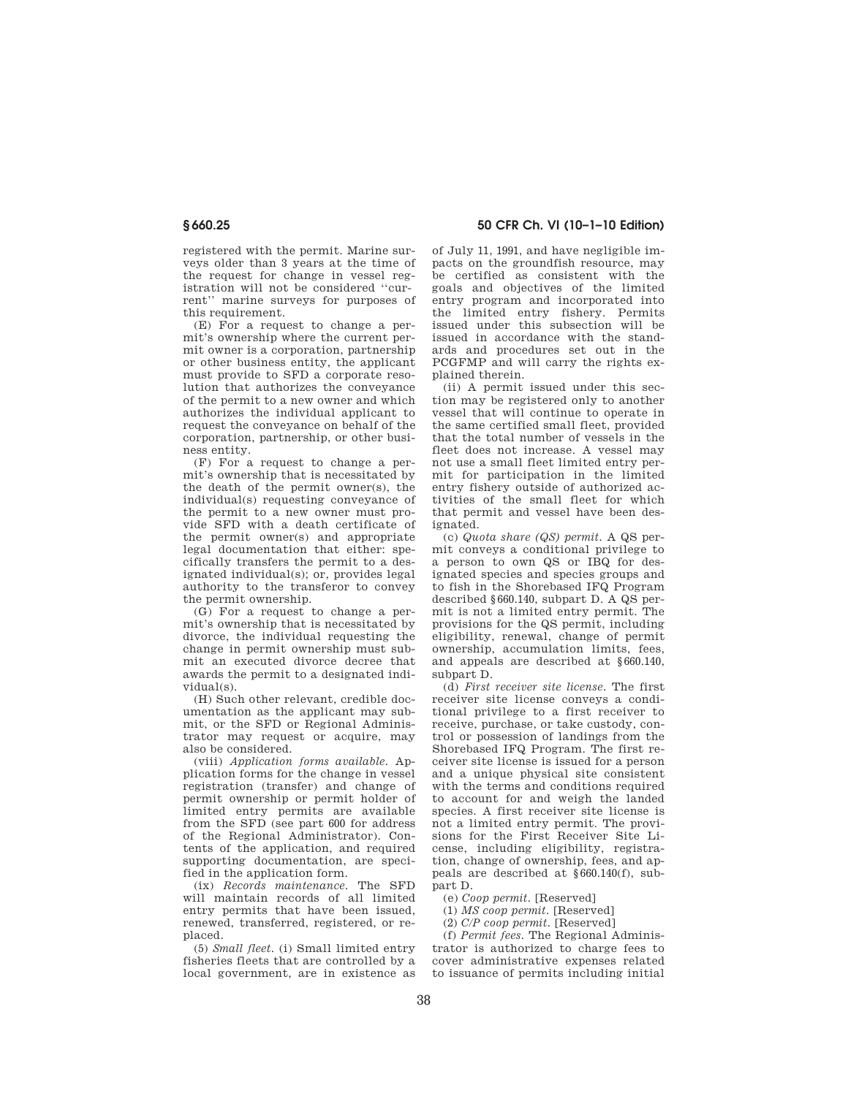registered with the permit. Marine surveys older than 3 years at the time of the request for change in vessel registration will not be considered ''current'' marine surveys for purposes of this requirement.

(E) For a request to change a permit's ownership where the current permit owner is a corporation, partnership or other business entity, the applicant must provide to SFD a corporate resolution that authorizes the conveyance of the permit to a new owner and which authorizes the individual applicant to request the conveyance on behalf of the corporation, partnership, or other business entity.

(F) For a request to change a permit's ownership that is necessitated by the death of the permit owner(s), the individual(s) requesting conveyance of the permit to a new owner must provide SFD with a death certificate of the permit owner(s) and appropriate legal documentation that either: specifically transfers the permit to a designated individual(s); or, provides legal authority to the transferor to convey the permit ownership.

(G) For a request to change a permit's ownership that is necessitated by divorce, the individual requesting the change in permit ownership must submit an executed divorce decree that awards the permit to a designated individual(s).

(H) Such other relevant, credible documentation as the applicant may submit, or the SFD or Regional Administrator may request or acquire, may also be considered.

(viii) *Application forms available.* Application forms for the change in vessel registration (transfer) and change of permit ownership or permit holder of limited entry permits are available from the SFD (see part 600 for address of the Regional Administrator). Contents of the application, and required supporting documentation, are specified in the application form.

(ix) *Records maintenance.* The SFD will maintain records of all limited entry permits that have been issued, renewed, transferred, registered, or replaced.

(5) *Small fleet.* (i) Small limited entry fisheries fleets that are controlled by a local government, are in existence as

**§ 660.25 50 CFR Ch. VI (10–1–10 Edition)** 

of July 11, 1991, and have negligible impacts on the groundfish resource, may be certified as consistent with the goals and objectives of the limited entry program and incorporated into the limited entry fishery. Permits issued under this subsection will be issued in accordance with the standards and procedures set out in the PCGFMP and will carry the rights explained therein.

(ii) A permit issued under this section may be registered only to another vessel that will continue to operate in the same certified small fleet, provided that the total number of vessels in the fleet does not increase. A vessel may not use a small fleet limited entry permit for participation in the limited entry fishery outside of authorized activities of the small fleet for which that permit and vessel have been designated.

(c) *Quota share (QS) permit.* A QS permit conveys a conditional privilege to a person to own QS or IBQ for designated species and species groups and to fish in the Shorebased IFQ Program described §660.140, subpart D. A QS permit is not a limited entry permit. The provisions for the QS permit, including eligibility, renewal, change of permit ownership, accumulation limits, fees, and appeals are described at §660.140, subpart D.

(d) *First receiver site license.* The first receiver site license conveys a conditional privilege to a first receiver to receive, purchase, or take custody, control or possession of landings from the Shorebased IFQ Program. The first receiver site license is issued for a person and a unique physical site consistent with the terms and conditions required to account for and weigh the landed species. A first receiver site license is not a limited entry permit. The provisions for the First Receiver Site License, including eligibility, registration, change of ownership, fees, and appeals are described at §660.140(f), subpart D.

(e) *Coop permit.* [Reserved]

(1) *MS coop permit.* [Reserved]

(2) *C/P coop permit.* [Reserved]

(f) *Permit fees.* The Regional Administrator is authorized to charge fees to cover administrative expenses related to issuance of permits including initial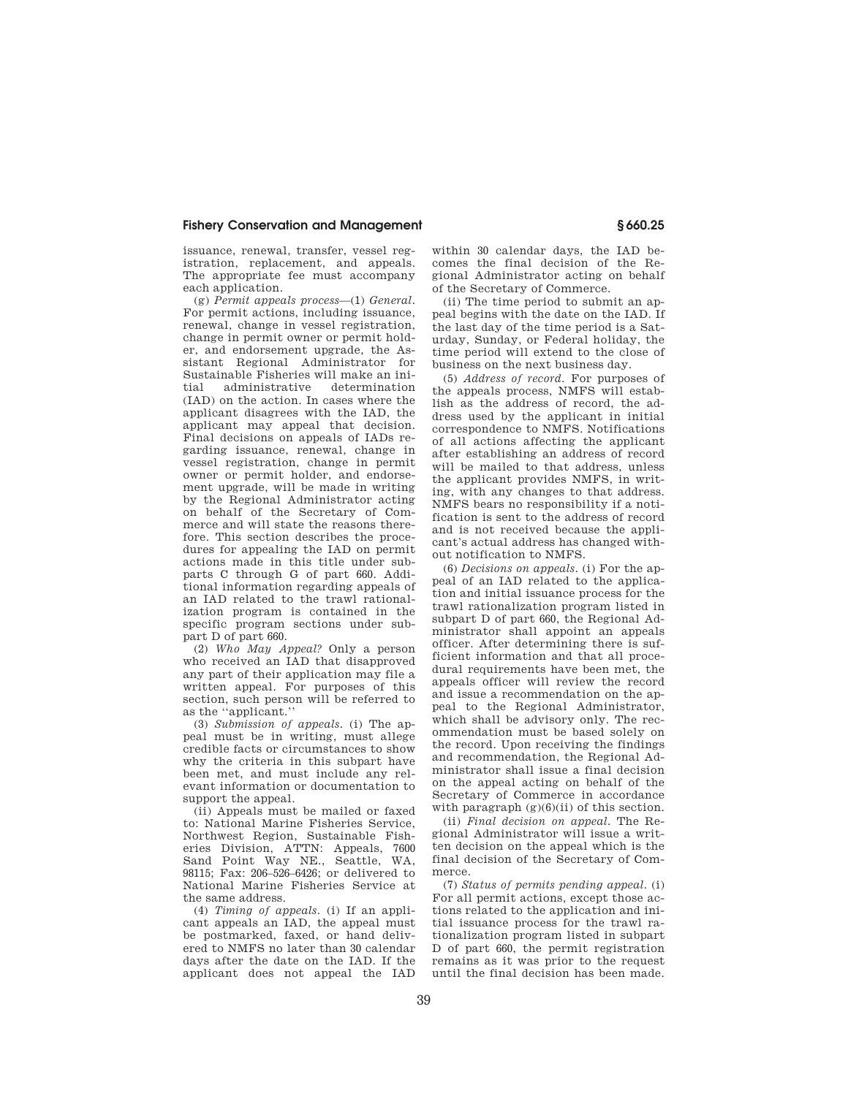issuance, renewal, transfer, vessel registration, replacement, and appeals. The appropriate fee must accompany each application.

(g) *Permit appeals process*—(1) *General.*  For permit actions, including issuance, renewal, change in vessel registration, change in permit owner or permit holder, and endorsement upgrade, the Assistant Regional Administrator for Sustainable Fisheries will make an initial administrative determination (IAD) on the action. In cases where the applicant disagrees with the IAD, the applicant may appeal that decision. Final decisions on appeals of IADs regarding issuance, renewal, change in vessel registration, change in permit owner or permit holder, and endorsement upgrade, will be made in writing by the Regional Administrator acting on behalf of the Secretary of Commerce and will state the reasons therefore. This section describes the procedures for appealing the IAD on permit actions made in this title under subparts C through G of part 660. Additional information regarding appeals of an IAD related to the trawl rationalization program is contained in the specific program sections under subpart D of part 660.

(2) *Who May Appeal?* Only a person who received an IAD that disapproved any part of their application may file a written appeal. For purposes of this section, such person will be referred to as the ''applicant.''

(3) *Submission of appeals.* (i) The appeal must be in writing, must allege credible facts or circumstances to show why the criteria in this subpart have been met, and must include any relevant information or documentation to support the appeal.

(ii) Appeals must be mailed or faxed to: National Marine Fisheries Service, Northwest Region, Sustainable Fisheries Division, ATTN: Appeals, 7600 Sand Point Way NE., Seattle, WA, 98115; Fax: 206–526–6426; or delivered to National Marine Fisheries Service at the same address.

(4) *Timing of appeals.* (i) If an applicant appeals an IAD, the appeal must be postmarked, faxed, or hand delivered to NMFS no later than 30 calendar days after the date on the IAD. If the applicant does not appeal the IAD

within 30 calendar days, the IAD becomes the final decision of the Regional Administrator acting on behalf of the Secretary of Commerce.

(ii) The time period to submit an appeal begins with the date on the IAD. If the last day of the time period is a Saturday, Sunday, or Federal holiday, the time period will extend to the close of business on the next business day.

(5) *Address of record.* For purposes of the appeals process, NMFS will establish as the address of record, the address used by the applicant in initial correspondence to NMFS. Notifications of all actions affecting the applicant after establishing an address of record will be mailed to that address, unless the applicant provides NMFS, in writing, with any changes to that address. NMFS bears no responsibility if a notification is sent to the address of record and is not received because the applicant's actual address has changed without notification to NMFS.

(6) *Decisions on appeals.* (i) For the appeal of an IAD related to the application and initial issuance process for the trawl rationalization program listed in subpart D of part 660, the Regional Administrator shall appoint an appeals officer. After determining there is sufficient information and that all procedural requirements have been met, the appeals officer will review the record and issue a recommendation on the appeal to the Regional Administrator, which shall be advisory only. The recommendation must be based solely on the record. Upon receiving the findings and recommendation, the Regional Administrator shall issue a final decision on the appeal acting on behalf of the Secretary of Commerce in accordance with paragraph  $(g)(6)(ii)$  of this section.

(ii) *Final decision on appeal.* The Regional Administrator will issue a written decision on the appeal which is the final decision of the Secretary of Commerce.

(7) *Status of permits pending appeal.* (i) For all permit actions, except those actions related to the application and initial issuance process for the trawl rationalization program listed in subpart D of part 660, the permit registration remains as it was prior to the request until the final decision has been made.